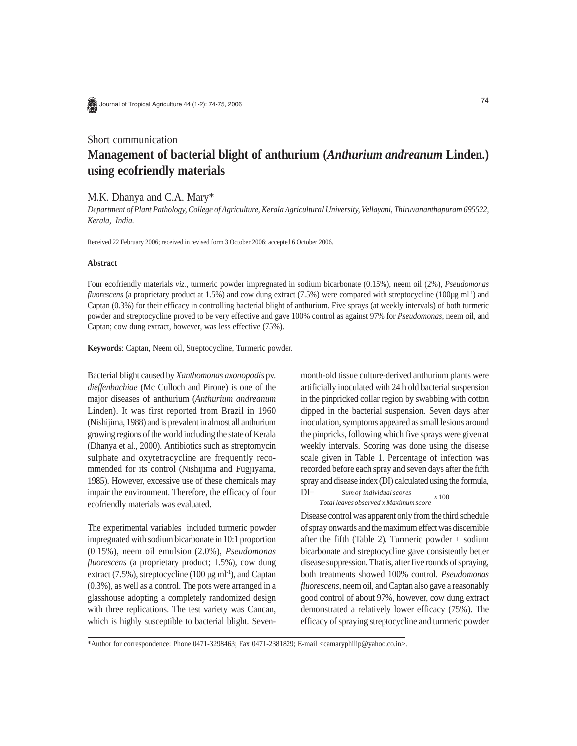

Journal of Tropical Agriculture 44 (1-2): 74-75, 2006

# Short communication **Management of bacterial blight of anthurium (***Anthurium andreanum* **Linden.) using ecofriendly materials**

## M.K. Dhanya and C.A. Mary\*

*Department of Plant Pathology, College of Agriculture, Kerala Agricultural University, Vellayani, Thiruvananthapuram 695522, Kerala, India.*

Received 22 February 2006; received in revised form 3 October 2006; accepted 6 October 2006.

### **Abstract**

Four ecofriendly materials *viz.*, turmeric powder impregnated in sodium bicarbonate (0.15%), neem oil (2%), *Pseudomonas fluorescens* (a proprietary product at 1.5%) and cow dung extract (7.5%) were compared with streptocycline (100µg ml<sup>-1</sup>) and Captan (0.3%) for their efficacy in controlling bacterial blight of anthurium. Five sprays (at weekly intervals) of both turmeric powder and streptocycline proved to be very effective and gave 100% control as against 97% for *Pseudomonas,* neem oil, and Captan; cow dung extract, however, was less effective (75%).

**Keywords**: Captan, Neem oil, Streptocycline, Turmeric powder.

Bacterial blight caused by *Xanthomonas axonopodis* pv. *dieffenbachiae* (Mc Culloch and Pirone) is one of the major diseases of anthurium (*Anthurium andreanum* Linden). It was first reported from Brazil in 1960 (Nishijima, 1988) and is prevalent in almost all anthurium growing regions of the world including the state of Kerala (Dhanya et al., 2000). Antibiotics such as streptomycin sulphate and oxytetracycline are frequently recommended for its control (Nishijima and Fugjiyama, 1985). However, excessive use of these chemicals may impair the environment. Therefore, the efficacy of four ecofriendly materials was evaluated.

The experimental variables included turmeric powder impregnated with sodium bicarbonate in 10:1 proportion (0.15%), neem oil emulsion (2.0%), *Pseudomonas fluorescens* (a proprietary product; 1.5%), cow dung extract (7.5%), streptocycline (100  $\mu$ g ml<sup>-1</sup>), and Captan (0.3%), as well as a control. The pots were arranged in a glasshouse adopting a completely randomized design with three replications. The test variety was Cancan, which is highly susceptible to bacterial blight. Sevenmonth-old tissue culture-derived anthurium plants were artificially inoculated with 24 h old bacterial suspension in the pinpricked collar region by swabbing with cotton dipped in the bacterial suspension. Seven days after inoculation, symptoms appeared as small lesions around the pinpricks, following which five sprays were given at weekly intervals. Scoring was done using the disease scale given in Table 1. Percentage of infection was recorded before each spray and seven days after the fifth spray and disease index (DI) calculated using the formula,  $DI$ 

$$
DI = \frac{Sum of individual scores}{Total leaves observed x Maximum score} x 100
$$

Disease control was apparent only from the third schedule of spray onwards and the maximum effect was discernible after the fifth (Table 2). Turmeric powder + sodium bicarbonate and streptocycline gave consistently better disease suppression. That is, after five rounds of spraying, both treatments showed 100% control. *Pseudomonas fluorescens*, neem oil, and Captan also gave a reasonably good control of about 97%, however, cow dung extract demonstrated a relatively lower efficacy (75%). The efficacy of spraying streptocycline and turmeric powder

\*Author for correspondence: Phone 0471-3298463; Fax 0471-2381829; E-mail <camaryphilip@yahoo.co.in>.